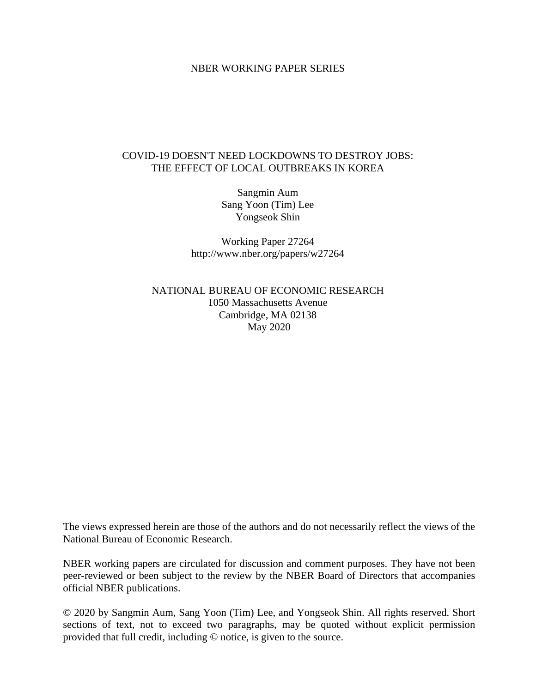#### NBER WORKING PAPER SERIES

#### COVID-19 DOESN'T NEED LOCKDOWNS TO DESTROY JOBS: THE EFFECT OF LOCAL OUTBREAKS IN KOREA

Sangmin Aum Sang Yoon (Tim) Lee Yongseok Shin

Working Paper 27264 http://www.nber.org/papers/w27264

NATIONAL BUREAU OF ECONOMIC RESEARCH 1050 Massachusetts Avenue Cambridge, MA 02138 May 2020

The views expressed herein are those of the authors and do not necessarily reflect the views of the National Bureau of Economic Research.

NBER working papers are circulated for discussion and comment purposes. They have not been peer-reviewed or been subject to the review by the NBER Board of Directors that accompanies official NBER publications.

© 2020 by Sangmin Aum, Sang Yoon (Tim) Lee, and Yongseok Shin. All rights reserved. Short sections of text, not to exceed two paragraphs, may be quoted without explicit permission provided that full credit, including © notice, is given to the source.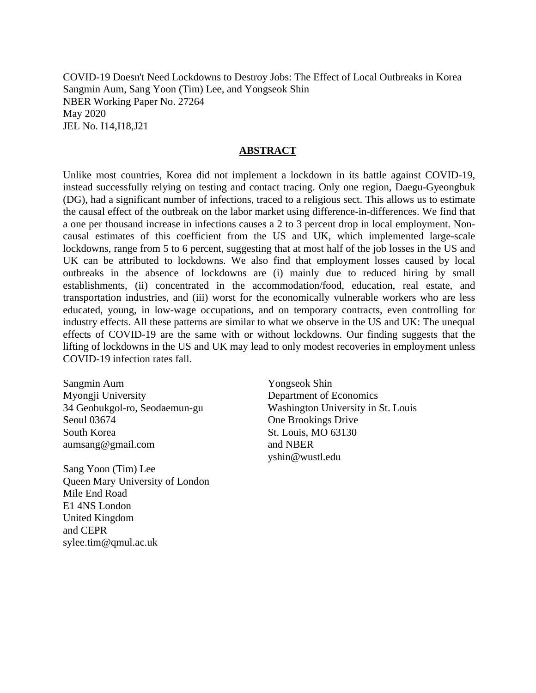COVID-19 Doesn't Need Lockdowns to Destroy Jobs: The Effect of Local Outbreaks in Korea Sangmin Aum, Sang Yoon (Tim) Lee, and Yongseok Shin NBER Working Paper No. 27264 May 2020 JEL No. I14,I18,J21

#### **ABSTRACT**

Unlike most countries, Korea did not implement a lockdown in its battle against COVID-19, instead successfully relying on testing and contact tracing. Only one region, Daegu-Gyeongbuk (DG), had a significant number of infections, traced to a religious sect. This allows us to estimate the causal effect of the outbreak on the labor market using difference-in-differences. We find that a one per thousand increase in infections causes a 2 to 3 percent drop in local employment. Noncausal estimates of this coefficient from the US and UK, which implemented large-scale lockdowns, range from 5 to 6 percent, suggesting that at most half of the job losses in the US and UK can be attributed to lockdowns. We also find that employment losses caused by local outbreaks in the absence of lockdowns are (i) mainly due to reduced hiring by small establishments, (ii) concentrated in the accommodation/food, education, real estate, and transportation industries, and (iii) worst for the economically vulnerable workers who are less educated, young, in low-wage occupations, and on temporary contracts, even controlling for industry effects. All these patterns are similar to what we observe in the US and UK: The unequal effects of COVID-19 are the same with or without lockdowns. Our finding suggests that the lifting of lockdowns in the US and UK may lead to only modest recoveries in employment unless COVID-19 infection rates fall.

Sangmin Aum Myongji University 34 Geobukgol-ro, Seodaemun-gu Seoul 03674 South Korea aumsang@gmail.com

Sang Yoon (Tim) Lee Queen Mary University of London Mile End Road E1 4NS London United Kingdom and CEPR sylee.tim@qmul.ac.uk

Yongseok Shin Department of Economics Washington University in St. Louis One Brookings Drive St. Louis, MO 63130 and NBER yshin@wustl.edu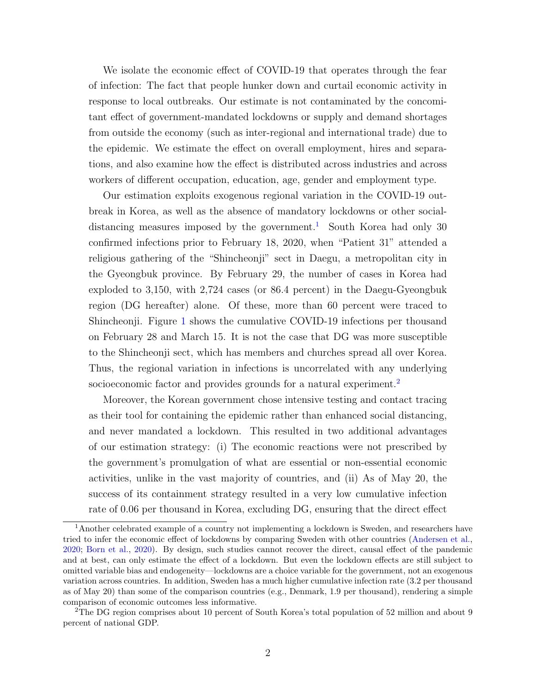We isolate the economic effect of COVID-19 that operates through the fear of infection: The fact that people hunker down and curtail economic activity in response to local outbreaks. Our estimate is not contaminated by the concomitant effect of government-mandated lockdowns or supply and demand shortages from outside the economy (such as inter-regional and international trade) due to the epidemic. We estimate the effect on overall employment, hires and separations, and also examine how the effect is distributed across industries and across workers of different occupation, education, age, gender and employment type.

Our estimation exploits exogenous regional variation in the COVID-19 outbreak in Korea, as well as the absence of mandatory lockdowns or other social-distancing measures imposed by the government.<sup>[1](#page-2-0)</sup> South Korea had only 30 confirmed infections prior to February 18, 2020, when "Patient 31" attended a religious gathering of the "Shincheonji" sect in Daegu, a metropolitan city in the Gyeongbuk province. By February 29, the number of cases in Korea had exploded to 3,150, with 2,724 cases (or 86.4 percent) in the Daegu-Gyeongbuk region (DG hereafter) alone. Of these, more than 60 percent were traced to Shincheonji. Figure [1](#page-3-0) shows the cumulative COVID-19 infections per thousand on February 28 and March 15. It is not the case that DG was more susceptible to the Shincheonji sect, which has members and churches spread all over Korea. Thus, the regional variation in infections is uncorrelated with any underlying socioeconomic factor and provides grounds for a natural experiment.<sup>[2](#page-2-1)</sup>

Moreover, the Korean government chose intensive testing and contact tracing as their tool for containing the epidemic rather than enhanced social distancing, and never mandated a lockdown. This resulted in two additional advantages of our estimation strategy: (i) The economic reactions were not prescribed by the government's promulgation of what are essential or non-essential economic activities, unlike in the vast majority of countries, and (ii) As of May 20, the success of its containment strategy resulted in a very low cumulative infection rate of 0.06 per thousand in Korea, excluding DG, ensuring that the direct effect

<span id="page-2-0"></span><sup>&</sup>lt;sup>1</sup>Another celebrated example of a country not implementing a lockdown is Sweden, and researchers have tried to infer the economic effect of lockdowns by comparing Sweden with other countries [\(Andersen et al.,](#page-18-0) [2020;](#page-18-0) [Born et al.,](#page-18-1) [2020\)](#page-18-1). By design, such studies cannot recover the direct, causal effect of the pandemic and at best, can only estimate the effect of a lockdown. But even the lockdown effects are still subject to omitted variable bias and endogeneity—lockdowns are a choice variable for the government, not an exogenous variation across countries. In addition, Sweden has a much higher cumulative infection rate (3.2 per thousand as of May 20) than some of the comparison countries (e.g., Denmark, 1.9 per thousand), rendering a simple comparison of economic outcomes less informative.

<span id="page-2-1"></span><sup>&</sup>lt;sup>2</sup>The DG region comprises about 10 percent of South Korea's total population of 52 million and about 9 percent of national GDP.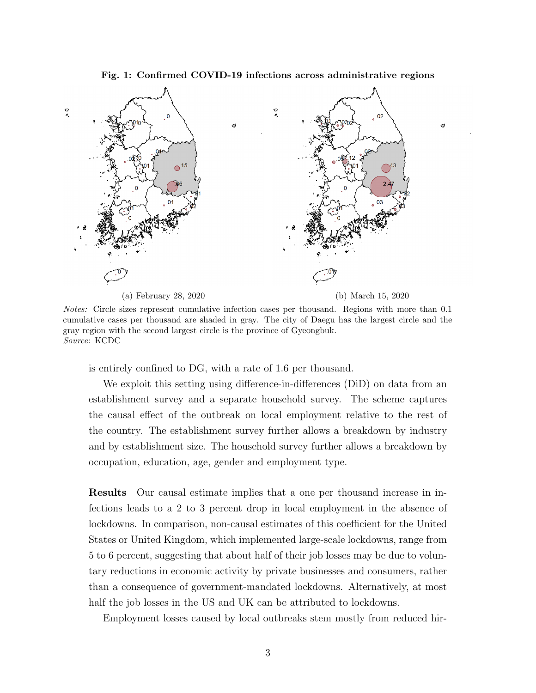<span id="page-3-0"></span>Fig. 1: Confirmed COVID-19 infections across administrative regions



Notes: Circle sizes represent cumulative infection cases per thousand. Regions with more than 0.1 cumulative cases per thousand are shaded in gray. The city of Daegu has the largest circle and the gray region with the second largest circle is the province of Gyeongbuk. Source: KCDC

is entirely confined to DG, with a rate of 1.6 per thousand.

We exploit this setting using difference-in-differences (DiD) on data from an establishment survey and a separate household survey. The scheme captures the causal effect of the outbreak on local employment relative to the rest of the country. The establishment survey further allows a breakdown by industry and by establishment size. The household survey further allows a breakdown by occupation, education, age, gender and employment type.

Results Our causal estimate implies that a one per thousand increase in infections leads to a 2 to 3 percent drop in local employment in the absence of lockdowns. In comparison, non-causal estimates of this coefficient for the United States or United Kingdom, which implemented large-scale lockdowns, range from 5 to 6 percent, suggesting that about half of their job losses may be due to voluntary reductions in economic activity by private businesses and consumers, rather than a consequence of government-mandated lockdowns. Alternatively, at most half the job losses in the US and UK can be attributed to lockdowns.

Employment losses caused by local outbreaks stem mostly from reduced hir-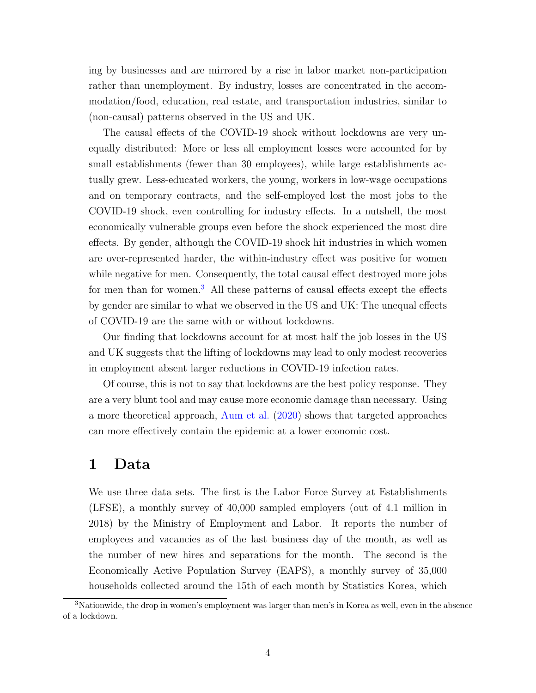ing by businesses and are mirrored by a rise in labor market non-participation rather than unemployment. By industry, losses are concentrated in the accommodation/food, education, real estate, and transportation industries, similar to (non-causal) patterns observed in the US and UK.

The causal effects of the COVID-19 shock without lockdowns are very unequally distributed: More or less all employment losses were accounted for by small establishments (fewer than 30 employees), while large establishments actually grew. Less-educated workers, the young, workers in low-wage occupations and on temporary contracts, and the self-employed lost the most jobs to the COVID-19 shock, even controlling for industry effects. In a nutshell, the most economically vulnerable groups even before the shock experienced the most dire effects. By gender, although the COVID-19 shock hit industries in which women are over-represented harder, the within-industry effect was positive for women while negative for men. Consequently, the total causal effect destroyed more jobs for men than for women.<sup>[3](#page-4-0)</sup> All these patterns of causal effects except the effects by gender are similar to what we observed in the US and UK: The unequal effects of COVID-19 are the same with or without lockdowns.

Our finding that lockdowns account for at most half the job losses in the US and UK suggests that the lifting of lockdowns may lead to only modest recoveries in employment absent larger reductions in COVID-19 infection rates.

Of course, this is not to say that lockdowns are the best policy response. They are a very blunt tool and may cause more economic damage than necessary. Using a more theoretical approach, [Aum et al.](#page-18-2) [\(2020\)](#page-18-2) shows that targeted approaches can more effectively contain the epidemic at a lower economic cost.

## 1 Data

We use three data sets. The first is the Labor Force Survey at Establishments (LFSE), a monthly survey of 40,000 sampled employers (out of 4.1 million in 2018) by the Ministry of Employment and Labor. It reports the number of employees and vacancies as of the last business day of the month, as well as the number of new hires and separations for the month. The second is the Economically Active Population Survey (EAPS), a monthly survey of 35,000 households collected around the 15th of each month by Statistics Korea, which

<span id="page-4-0"></span><sup>&</sup>lt;sup>3</sup>Nationwide, the drop in women's employment was larger than men's in Korea as well, even in the absence of a lockdown.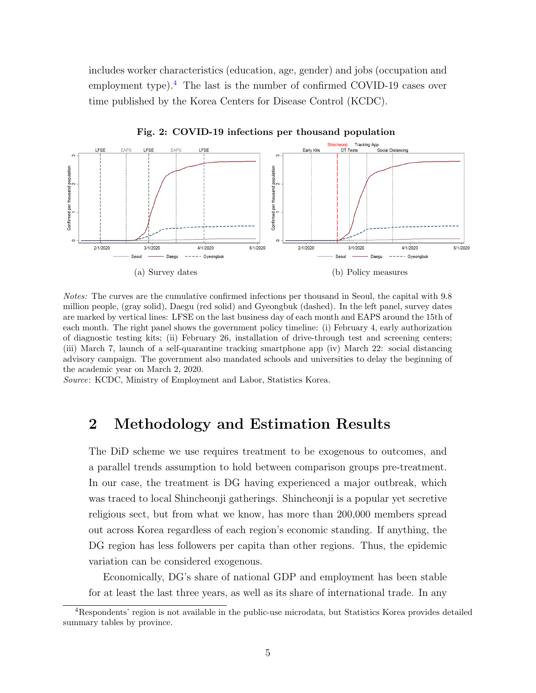includes worker characteristics (education, age, gender) and jobs (occupation and employment type).<sup>[4](#page-5-0)</sup> The last is the number of confirmed COVID-19 cases over time published by the Korea Centers for Disease Control (KCDC).



Fig. 2: COVID-19 infections per thousand population

Notes: The curves are the cumulative confirmed infections per thousand in Seoul, the capital with 9.8 million people, (gray solid), Daegu (red solid) and Gyeongbuk (dashed). In the left panel, survey dates are marked by vertical lines: LFSE on the last business day of each month and EAPS around the 15th of each month. The right panel shows the government policy timeline: (i) February 4, early authorization of diagnostic testing kits; (ii) February 26, installation of drive-through test and screening centers; (iii) March 7, launch of a self-quarantine tracking smartphone app (iv) March 22: social distancing advisory campaign. The government also mandated schools and universities to delay the beginning of the academic year on March 2, 2020.

Source: KCDC, Ministry of Employment and Labor, Statistics Korea.

# 2 Methodology and Estimation Results

The DiD scheme we use requires treatment to be exogenous to outcomes, and a parallel trends assumption to hold between comparison groups pre-treatment. In our case, the treatment is DG having experienced a major outbreak, which was traced to local Shincheonji gatherings. Shincheonji is a popular yet secretive religious sect, but from what we know, has more than 200,000 members spread out across Korea regardless of each region's economic standing. If anything, the DG region has less followers per capita than other regions. Thus, the epidemic variation can be considered exogenous.

Economically, DG's share of national GDP and employment has been stable for at least the last three years, as well as its share of international trade. In any

<span id="page-5-0"></span><sup>4</sup>Respondents' region is not available in the public-use microdata, but Statistics Korea provides detailed summary tables by province.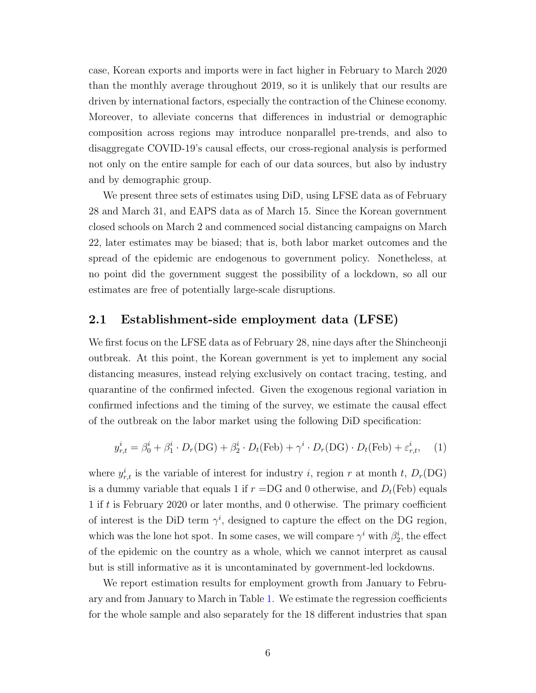case, Korean exports and imports were in fact higher in February to March 2020 than the monthly average throughout 2019, so it is unlikely that our results are driven by international factors, especially the contraction of the Chinese economy. Moreover, to alleviate concerns that differences in industrial or demographic composition across regions may introduce nonparallel pre-trends, and also to disaggregate COVID-19's causal effects, our cross-regional analysis is performed not only on the entire sample for each of our data sources, but also by industry and by demographic group.

We present three sets of estimates using DiD, using LFSE data as of February 28 and March 31, and EAPS data as of March 15. Since the Korean government closed schools on March 2 and commenced social distancing campaigns on March 22, later estimates may be biased; that is, both labor market outcomes and the spread of the epidemic are endogenous to government policy. Nonetheless, at no point did the government suggest the possibility of a lockdown, so all our estimates are free of potentially large-scale disruptions.

#### 2.1 Establishment-side employment data (LFSE)

We first focus on the LFSE data as of February 28, nine days after the Shincheonji outbreak. At this point, the Korean government is yet to implement any social distancing measures, instead relying exclusively on contact tracing, testing, and quarantine of the confirmed infected. Given the exogenous regional variation in confirmed infections and the timing of the survey, we estimate the causal effect of the outbreak on the labor market using the following DiD specification:

<span id="page-6-0"></span>
$$
y_{r,t}^i = \beta_0^i + \beta_1^i \cdot D_r(\text{DG}) + \beta_2^i \cdot D_t(\text{Feb}) + \gamma^i \cdot D_r(\text{DG}) \cdot D_t(\text{Feb}) + \varepsilon_{r,t}^i,\tag{1}
$$

where  $y_{r,t}^i$  is the variable of interest for industry *i*, region *r* at month *t*,  $D_r(DG)$ is a dummy variable that equals 1 if  $r = DG$  and 0 otherwise, and  $D_t(Feb)$  equals 1 if t is February 2020 or later months, and 0 otherwise. The primary coefficient of interest is the DiD term  $\gamma^i$ , designed to capture the effect on the DG region, which was the lone hot spot. In some cases, we will compare  $\gamma^i$  with  $\beta_2^i$ , the effect of the epidemic on the country as a whole, which we cannot interpret as causal but is still informative as it is uncontaminated by government-led lockdowns.

We report estimation results for employment growth from January to February and from January to March in Table [1.](#page-7-0) We estimate the regression coefficients for the whole sample and also separately for the 18 different industries that span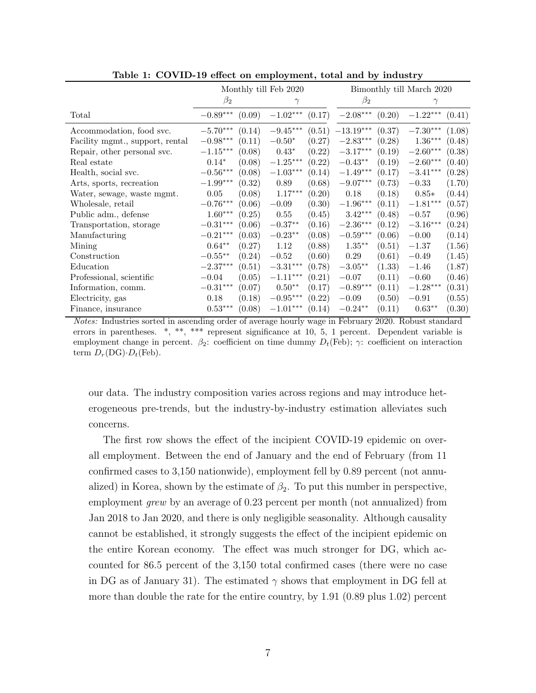|                                 | Monthly till Feb 2020  |        |                        | Bimonthly till March 2020 |                        |        |                        |        |
|---------------------------------|------------------------|--------|------------------------|---------------------------|------------------------|--------|------------------------|--------|
|                                 | $\beta_2$              |        | $\gamma$               |                           | $\beta_2$              |        | $\gamma$               |        |
| Total                           | $-0.89***$             | (0.09) | $-1.02***$             | (0.17)                    | $-2.08^{\ast\ast\ast}$ | (0.20) | $-1.22^{\ast\ast\ast}$ | (0.41) |
| Accommodation, food svc.        | $-5.70***$             | (0.14) | $-9.45***$             | (0.51)                    | $-13.19***$            | (0.37) | $-7.30***$             | (1.08) |
| Facility mgmt., support, rental | $-0.98***$             | (0.11) | $-0.50*$               | (0.27)                    | $-2.83***$             | (0.28) | $1.36***$              | (0.48) |
| Repair, other personal svc.     | $-1.15^{\ast\ast\ast}$ | (0.08) | $0.43*$                | (0.22)                    | $-3.17***$             | (0.19) | $-2.60***$             | (0.38) |
| Real estate                     | $0.14*$                | (0.08) | $-1.25***$             | (0.22)                    | $-0.43**$              | (0.19) | $-2.60***$             | (0.40) |
| Health, social svc.             | $-0.56^{\ast\ast\ast}$ | (0.08) | $-1.03^{\ast\ast\ast}$ | (0.14)                    | $-1.49***$             | (0.17) | $-3.41***$             | (0.28) |
| Arts, sports, recreation        | $-1.99^{\ast\ast\ast}$ | (0.32) | 0.89                   | (0.68)                    | $-9.07***$             | (0.73) | $-0.33$                | (1.70) |
| Water, sewage, waste mgmt.      | 0.05                   | (0.08) | $1.17***$              | (0.20)                    | 0.18                   | (0.18) | $0.85*$                | (0.44) |
| Wholesale, retail               | $-0.76***$             | (0.06) | $-0.09$                | (0.30)                    | $-1.96***$             | (0.11) | $-1.81***$             | (0.57) |
| Public adm., defense            | $1.60***$              | (0.25) | 0.55                   | (0.45)                    | $3.42***$              | (0.48) | $-0.57$                | (0.96) |
| Transportation, storage         | $-0.31***$             | (0.06) | $-0.37**$              | (0.16)                    | $-2.36***$             | (0.12) | $-3.16***$             | (0.24) |
| Manufacturing                   | $-0.21***$             | (0.03) | $-0.23**$              | (0.08)                    | $-0.59***$             | (0.06) | $-0.00$                | (0.14) |
| Mining                          | $0.64***$              | (0.27) | 1.12                   | (0.88)                    | $1.35***$              | (0.51) | $-1.37$                | (1.56) |
| Construction                    | $-0.55***$             | (0.24) | $-0.52$                | (0.60)                    | 0.29                   | (0.61) | $-0.49$                | (1.45) |
| Education                       | $-2.37^{\ast\ast\ast}$ | (0.51) | $-3.31***$             | (0.78)                    | $-3.05**$              | (1.33) | $-1.46$                | (1.87) |
| Professional, scientific        | $-0.04$                | (0.05) | $-1.11***$             | (0.21)                    | $-0.07$                | (0.11) | $-0.60$                | (0.46) |
| Information, comm.              | $-0.31***$             | (0.07) | $0.50**$               | (0.17)                    | $-0.89***$             | (0.11) | $-1.28***$             | (0.31) |
| Electricity, gas                | 0.18                   | (0.18) | $-0.95***$             | (0.22)                    | $-0.09$                | (0.50) | $-0.91$                | (0.55) |
| Finance, insurance              | $0.53^{\ast\ast\ast}$  | (0.08) | $-1.01***$             | (0.14)                    | $-0.24**$              | (0.11) | $0.63**$               | (0.30) |

<span id="page-7-0"></span>Table 1: COVID-19 effect on employment, total and by industry

Notes: Industries sorted in ascending order of average hourly wage in February 2020. Robust standard errors in parentheses. \*, \*\*, \*\*\* represent significance at 10, 5, 1 percent. Dependent variable is employment change in percent.  $\beta_2$ : coefficient on time dummy  $D_t$ (Feb);  $\gamma$ : coefficient on interaction term  $D_r(DG) \cdot D_t(Feb)$ .

our data. The industry composition varies across regions and may introduce heterogeneous pre-trends, but the industry-by-industry estimation alleviates such concerns.

The first row shows the effect of the incipient COVID-19 epidemic on overall employment. Between the end of January and the end of February (from 11 confirmed cases to 3,150 nationwide), employment fell by 0.89 percent (not annualized) in Korea, shown by the estimate of  $\beta_2$ . To put this number in perspective, employment *grew* by an average of 0.23 percent per month (not annualized) from Jan 2018 to Jan 2020, and there is only negligible seasonality. Although causality cannot be established, it strongly suggests the effect of the incipient epidemic on the entire Korean economy. The effect was much stronger for DG, which accounted for 86.5 percent of the 3,150 total confirmed cases (there were no case in DG as of January 31). The estimated  $\gamma$  shows that employment in DG fell at more than double the rate for the entire country, by 1.91 (0.89 plus 1.02) percent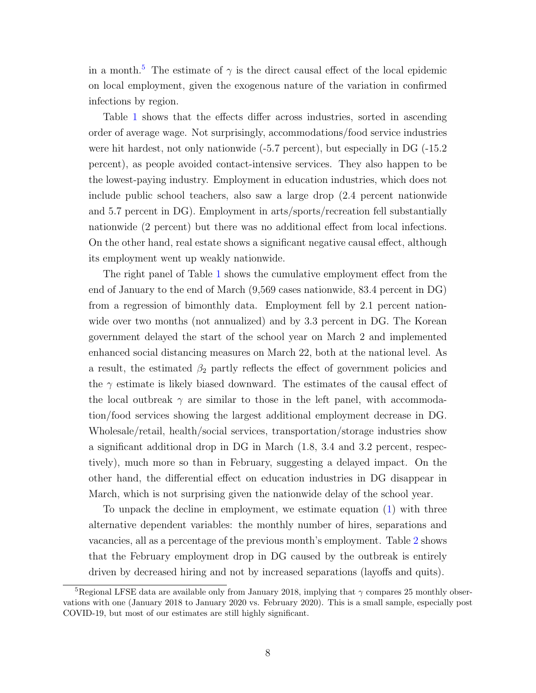in a month.<sup>[5](#page-8-0)</sup> The estimate of  $\gamma$  is the direct causal effect of the local epidemic on local employment, given the exogenous nature of the variation in confirmed infections by region.

Table [1](#page-7-0) shows that the effects differ across industries, sorted in ascending order of average wage. Not surprisingly, accommodations/food service industries were hit hardest, not only nationwide (-5.7 percent), but especially in DG (-15.2 percent), as people avoided contact-intensive services. They also happen to be the lowest-paying industry. Employment in education industries, which does not include public school teachers, also saw a large drop (2.4 percent nationwide and 5.7 percent in DG). Employment in arts/sports/recreation fell substantially nationwide (2 percent) but there was no additional effect from local infections. On the other hand, real estate shows a significant negative causal effect, although its employment went up weakly nationwide.

The right panel of Table [1](#page-7-0) shows the cumulative employment effect from the end of January to the end of March (9,569 cases nationwide, 83.4 percent in DG) from a regression of bimonthly data. Employment fell by 2.1 percent nationwide over two months (not annualized) and by 3.3 percent in DG. The Korean government delayed the start of the school year on March 2 and implemented enhanced social distancing measures on March 22, both at the national level. As a result, the estimated  $\beta_2$  partly reflects the effect of government policies and the  $\gamma$  estimate is likely biased downward. The estimates of the causal effect of the local outbreak  $\gamma$  are similar to those in the left panel, with accommodation/food services showing the largest additional employment decrease in DG. Wholesale/retail, health/social services, transportation/storage industries show a significant additional drop in DG in March (1.8, 3.4 and 3.2 percent, respectively), much more so than in February, suggesting a delayed impact. On the other hand, the differential effect on education industries in DG disappear in March, which is not surprising given the nationwide delay of the school year.

To unpack the decline in employment, we estimate equation [\(1\)](#page-6-0) with three alternative dependent variables: the monthly number of hires, separations and vacancies, all as a percentage of the previous month's employment. Table [2](#page-9-0) shows that the February employment drop in DG caused by the outbreak is entirely driven by decreased hiring and not by increased separations (layoffs and quits).

<span id="page-8-0"></span><sup>&</sup>lt;sup>5</sup>Regional LFSE data are available only from January 2018, implying that  $\gamma$  compares 25 monthly observations with one (January 2018 to January 2020 vs. February 2020). This is a small sample, especially post COVID-19, but most of our estimates are still highly significant.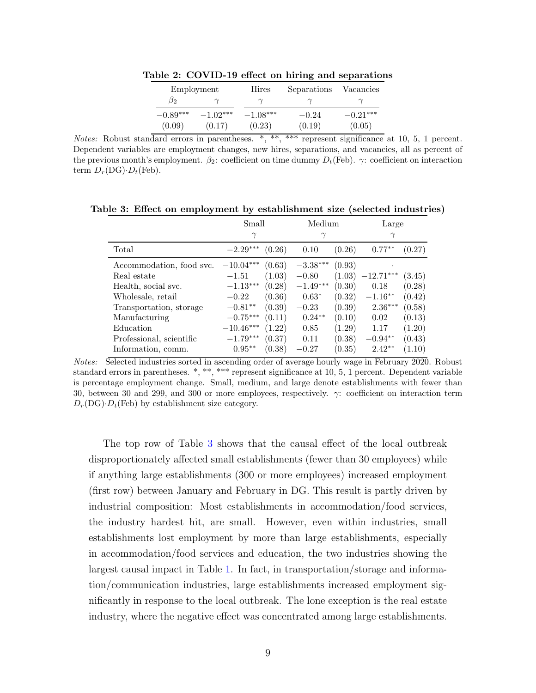<span id="page-9-0"></span>

|            | Employment | Hires      | Separations | Vacancies  |
|------------|------------|------------|-------------|------------|
| $\beta_2$  |            |            |             |            |
| $-0.89***$ | $-1.02***$ | $-1.08***$ | $-0.24$     | $-0.21***$ |
| (0.09)     | (0.17)     | (0.23)     | (0.19)      | (0.05)     |

Table 2: COVID-19 effect on hiring and separations

Notes: Robust standard errors in parentheses. \*, \*\*, \*\*\* represent significance at 10, 5, 1 percent. Dependent variables are employment changes, new hires, separations, and vacancies, all as percent of the previous month's employment.  $\beta_2$ : coefficient on time dummy  $D_t$ (Feb).  $\gamma$ : coefficient on interaction term  $D_r(DG) \cdot D_t(Feb)$ .

Table 3: Effect on employment by establishment size (selected industries)

<span id="page-9-1"></span>

|                          | Small       |        | Medium     |        | Large       |        |
|--------------------------|-------------|--------|------------|--------|-------------|--------|
|                          | $\gamma$    |        | $\gamma$   |        | $\gamma$    |        |
| Total                    | $-2.29***$  | (0.26) | 0.10       | (0.26) | $0.77**$    | (0.27) |
| Accommodation, food svc. | $-10.04***$ | (0.63) | $-3.38***$ | (0.93) | ٠           |        |
| Real estate              | $-1.51$     | (1.03) | $-0.80$    | (1.03) | $-12.71***$ | (3.45) |
| Health, social svc.      | $-1.13***$  | (0.28) | $-1.49***$ | (0.30) | 0.18        | (0.28) |
| Wholesale, retail        | $-0.22$     | (0.36) | $0.63*$    | (0.32) | $-1.16**$   | (0.42) |
| Transportation, storage  | $-0.81**$   | (0.39) | $-0.23$    | (0.39) | $2.36***$   | (0.58) |
| Manufacturing            | $-0.75***$  | (0.11) | $0.24***$  | (0.10) | 0.02        | (0.13) |
| Education                | $-10.46***$ | (1.22) | 0.85       | (1.29) | 1.17        | (1.20) |
| Professional, scientific | $-1.79***$  | (0.37) | 0.11       | (0.38) | $-0.94**$   | (0.43) |
| Information, comm.       | $0.95***$   | (0.38) | $-0.27$    | (0.35) | $2.42**$    | (1.10) |

Notes: Selected industries sorted in ascending order of average hourly wage in February 2020. Robust standard errors in parentheses. \*, \*\*, \*\*\* represent significance at 10, 5, 1 percent. Dependent variable is percentage employment change. Small, medium, and large denote establishments with fewer than 30, between 30 and 299, and 300 or more employees, respectively.  $\gamma$ : coefficient on interaction term  $D_r(DG) \cdot D_t(Feb)$  by establishment size category.

The top row of Table [3](#page-9-1) shows that the causal effect of the local outbreak disproportionately affected small establishments (fewer than 30 employees) while if anything large establishments (300 or more employees) increased employment (first row) between January and February in DG. This result is partly driven by industrial composition: Most establishments in accommodation/food services, the industry hardest hit, are small. However, even within industries, small establishments lost employment by more than large establishments, especially in accommodation/food services and education, the two industries showing the largest causal impact in Table [1.](#page-7-0) In fact, in transportation/storage and information/communication industries, large establishments increased employment significantly in response to the local outbreak. The lone exception is the real estate industry, where the negative effect was concentrated among large establishments.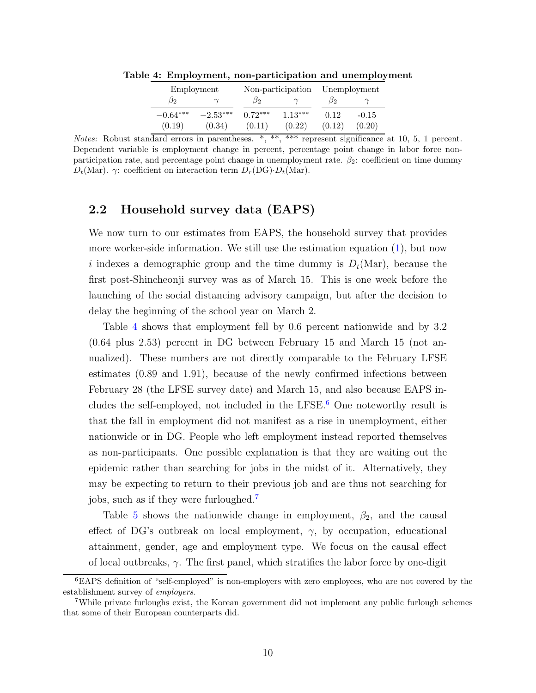<span id="page-10-0"></span>

| Employment |            |           | Non-participation | Unemployment |         |  |
|------------|------------|-----------|-------------------|--------------|---------|--|
| B2         |            | $\beta_2$ |                   | D2.          |         |  |
| $-0.64***$ | $-2.53***$ | $0.72***$ | $1.13***$         | 0.12         | $-0.15$ |  |
| (0.19)     | (0.34)     | (0.11)    | (0.22)            | (0.12)       | (0.20)  |  |

Table 4: Employment, non-participation and unemployment

Notes: Robust standard errors in parentheses. \*, \*\*, \*\*\* represent significance at 10, 5, 1 percent. Dependent variable is employment change in percent, percentage point change in labor force nonparticipation rate, and percentage point change in unemployment rate.  $\beta_2$ : coefficient on time dummy  $D_t(\text{Mar})$ .  $\gamma$ : coefficient on interaction term  $D_r(\text{DG})$ · $D_t(\text{Mar})$ .

### 2.2 Household survey data (EAPS)

We now turn to our estimates from EAPS, the household survey that provides more worker-side information. We still use the estimation equation [\(1\)](#page-6-0), but now i indexes a demographic group and the time dummy is  $D_t(Mar)$ , because the first post-Shincheonji survey was as of March 15. This is one week before the launching of the social distancing advisory campaign, but after the decision to delay the beginning of the school year on March 2.

Table [4](#page-10-0) shows that employment fell by 0.6 percent nationwide and by 3.2 (0.64 plus 2.53) percent in DG between February 15 and March 15 (not annualized). These numbers are not directly comparable to the February LFSE estimates (0.89 and 1.91), because of the newly confirmed infections between February 28 (the LFSE survey date) and March 15, and also because EAPS in-cludes the self-employed, not included in the LFSE.<sup>[6](#page-10-1)</sup> One noteworthy result is that the fall in employment did not manifest as a rise in unemployment, either nationwide or in DG. People who left employment instead reported themselves as non-participants. One possible explanation is that they are waiting out the epidemic rather than searching for jobs in the midst of it. Alternatively, they may be expecting to return to their previous job and are thus not searching for jobs, such as if they were furloughed.[7](#page-10-2)

Table [5](#page-12-0) shows the nationwide change in employment,  $\beta_2$ , and the causal effect of DG's outbreak on local employment,  $\gamma$ , by occupation, educational attainment, gender, age and employment type. We focus on the causal effect of local outbreaks,  $\gamma$ . The first panel, which stratifies the labor force by one-digit

<span id="page-10-1"></span><sup>6</sup>EAPS definition of "self-employed" is non-employers with zero employees, who are not covered by the establishment survey of employers.

<span id="page-10-2"></span><sup>7</sup>While private furloughs exist, the Korean government did not implement any public furlough schemes that some of their European counterparts did.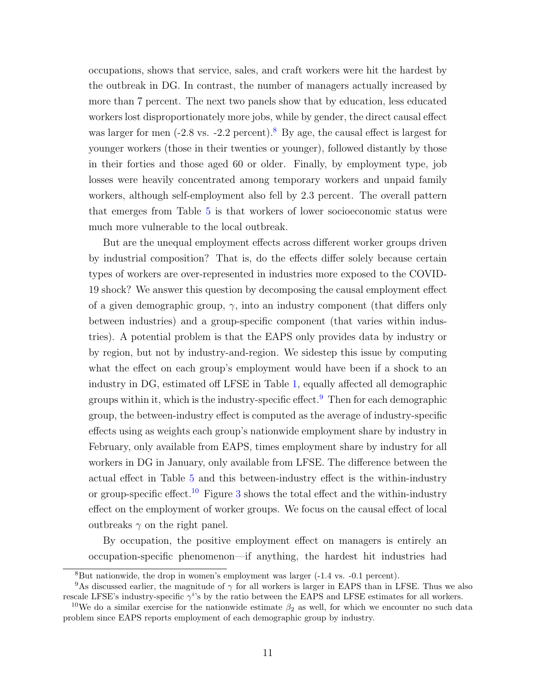occupations, shows that service, sales, and craft workers were hit the hardest by the outbreak in DG. In contrast, the number of managers actually increased by more than 7 percent. The next two panels show that by education, less educated workers lost disproportionately more jobs, while by gender, the direct causal effect was larger for men  $(-2.8 \text{ vs. } -2.2 \text{ percent})$  $(-2.8 \text{ vs. } -2.2 \text{ percent})$  $(-2.8 \text{ vs. } -2.2 \text{ percent})$ .<sup>8</sup> By age, the causal effect is largest for younger workers (those in their twenties or younger), followed distantly by those in their forties and those aged 60 or older. Finally, by employment type, job losses were heavily concentrated among temporary workers and unpaid family workers, although self-employment also fell by 2.3 percent. The overall pattern that emerges from Table [5](#page-12-0) is that workers of lower socioeconomic status were much more vulnerable to the local outbreak.

But are the unequal employment effects across different worker groups driven by industrial composition? That is, do the effects differ solely because certain types of workers are over-represented in industries more exposed to the COVID-19 shock? We answer this question by decomposing the causal employment effect of a given demographic group,  $\gamma$ , into an industry component (that differs only between industries) and a group-specific component (that varies within industries). A potential problem is that the EAPS only provides data by industry or by region, but not by industry-and-region. We sidestep this issue by computing what the effect on each group's employment would have been if a shock to an industry in DG, estimated off LFSE in Table [1,](#page-7-0) equally affected all demographic groups within it, which is the industry-specific effect.<sup>[9](#page-11-1)</sup> Then for each demographic group, the between-industry effect is computed as the average of industry-specific effects using as weights each group's nationwide employment share by industry in February, only available from EAPS, times employment share by industry for all workers in DG in January, only available from LFSE. The difference between the actual effect in Table [5](#page-12-0) and this between-industry effect is the within-industry or group-specific effect.<sup>[10](#page-11-2)</sup> Figure [3](#page-13-0) shows the total effect and the within-industry effect on the employment of worker groups. We focus on the causal effect of local outbreaks  $\gamma$  on the right panel.

By occupation, the positive employment effect on managers is entirely an occupation-specific phenomenon—if anything, the hardest hit industries had

<span id="page-11-1"></span><span id="page-11-0"></span> $8\text{But not}$  nationwide, the drop in women's employment was larger (-1.4 vs. -0.1 percent).

<sup>&</sup>lt;sup>9</sup>As discussed earlier, the magnitude of  $\gamma$  for all workers is larger in EAPS than in LFSE. Thus we also rescale LFSE's industry-specific  $\gamma^{i}$ 's by the ratio between the EAPS and LFSE estimates for all workers.

<span id="page-11-2"></span><sup>&</sup>lt;sup>10</sup>We do a similar exercise for the nationwide estimate  $\beta_2$  as well, for which we encounter no such data problem since EAPS reports employment of each demographic group by industry.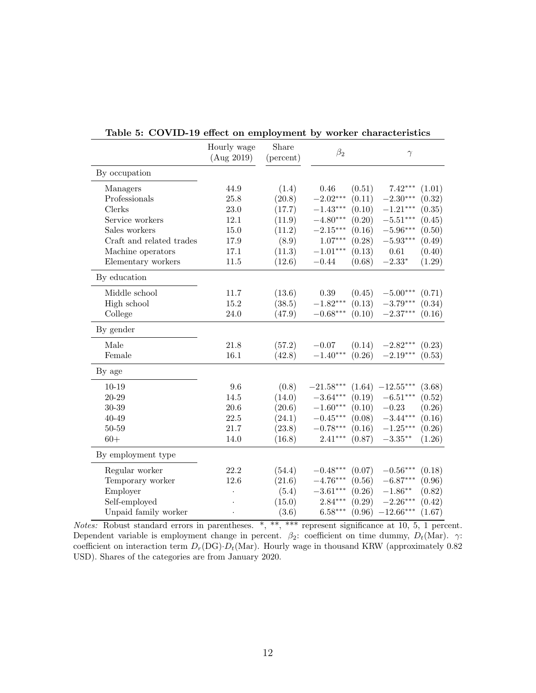|                          | Hourly wage<br>(Aug 2019) | Share<br>(percent) | $\beta_2$                 | $\gamma$              |
|--------------------------|---------------------------|--------------------|---------------------------|-----------------------|
| By occupation            |                           |                    |                           |                       |
| Managers                 | 44.9                      | (1.4)              | 0.46<br>(0.51)            | $7.42***$<br>(1.01)   |
| Professionals            | 25.8                      | (20.8)             | $-2.02***$<br>(0.11)      | $-2.30***$<br>(0.32)  |
| Clerks                   | 23.0                      | (17.7)             | $-1.43***$<br>(0.10)      | $-1.21***$<br>(0.35)  |
| Service workers          | 12.1                      | (11.9)             | $-4.80^{***}\,$<br>(0.20) | $-5.51***$<br>(0.45)  |
| Sales workers            | $15.0\,$                  | (11.2)             | $-2.15***$<br>(0.16)      | $-5.96***$<br>(0.50)  |
| Craft and related trades | 17.9                      | (8.9)              | $1.07***$<br>(0.28)       | $-5.93***$<br>(0.49)  |
| Machine operators        | 17.1                      | (11.3)             | $-1.01***$<br>(0.13)      | $0.61\,$<br>(0.40)    |
| Elementary workers       | $11.5\,$                  | (12.6)             | $-0.44$<br>(0.68)         | $-2.33*$<br>(1.29)    |
| By education             |                           |                    |                           |                       |
| Middle school            | 11.7                      | (13.6)             | $0.39\,$<br>(0.45)        | $-5.00***$<br>(0.71)  |
| High school              | 15.2                      | (38.5)             | $-1.82***$<br>(0.13)      | $-3.79***$<br>(0.34)  |
| College                  | $24.0\,$                  | (47.9)             | $-0.68***$<br>(0.10)      | $-2.37***$<br>(0.16)  |
| By gender                |                           |                    |                           |                       |
| Male                     | 21.8                      | (57.2)             | $-0.07$<br>(0.14)         | (0.23)<br>$-2.82***$  |
| Female                   | 16.1                      | (42.8)             | $-1.40***$<br>(0.26)      | $-2.19***$<br>(0.53)  |
| By age                   |                           |                    |                           |                       |
| $10 - 19$                | 9.6                       | (0.8)              | (1.64)<br>$-21.58***$     | (3.68)<br>$-12.55***$ |
| $20 - 29$                | 14.5                      | (14.0)             | $-3.64***$<br>(0.19)      | $-6.51***$<br>(0.52)  |
| $30 - 39$                | 20.6                      | (20.6)             | $-1.60***$<br>(0.10)      | $-0.23$<br>(0.26)     |
| 40-49                    | $22.5\,$                  | (24.1)             | $-0.45***$<br>(0.08)      | $-3.44***$<br>(0.16)  |
| $50 - 59$                | 21.7                      | (23.8)             | $-0.78***$<br>(0.16)      | $-1.25***$<br>(0.26)  |
| $60+$                    | 14.0                      | (16.8)             | $2.41***$<br>(0.87)       | (1.26)<br>$-3.35***$  |
| By employment type       |                           |                    |                           |                       |
| Regular worker           | 22.2                      | (54.4)             | $-0.48***$<br>(0.07)      | $-0.56***$<br>(0.18)  |
| Temporary worker         | 12.6                      | (21.6)             | $-4.76***$<br>(0.56)      | $-6.87***$<br>(0.96)  |
| Employer                 |                           | (5.4)              | $-3.61***$<br>(0.26)      | $-1.86**$<br>(0.82)   |
| Self-employed            |                           | (15.0)             | $2.84***$<br>(0.29)       | $-2.26***$<br>(0.42)  |
| Unpaid family worker     |                           | (3.6)              | $6.58***$<br>(0.96)       | $-12.66***$<br>(1.67) |

<span id="page-12-0"></span>Table 5: COVID-19 effect on employment by worker characteristics

Notes: Robust standard errors in parentheses. \*, \*\*, \*\*\* represent significance at 10, 5, 1 percent. Dependent variable is employment change in percent.  $\beta_2$ : coefficient on time dummy,  $D_t(\text{Mar})$ .  $\gamma$ : coefficient on interaction term  $D_r(DG) \cdot D_t(Mar)$ . Hourly wage in thousand KRW (approximately 0.82 USD). Shares of the categories are from January 2020.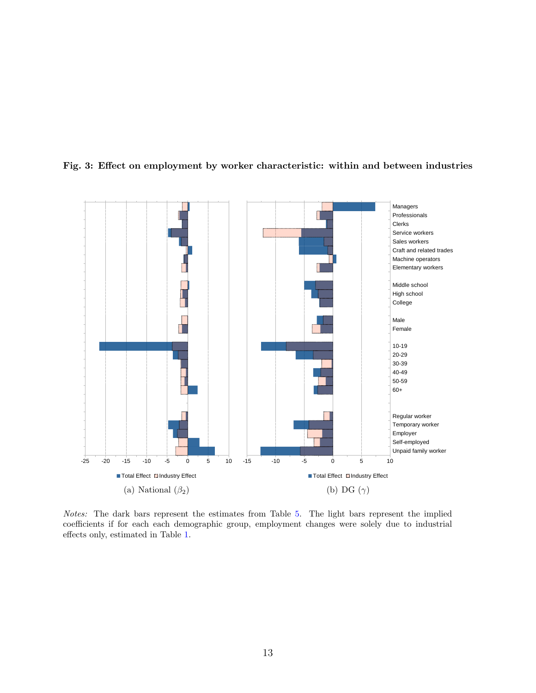

<span id="page-13-0"></span>

Notes: The dark bars represent the estimates from Table [5.](#page-12-0) The light bars represent the implied coefficients if for each each demographic group, employment changes were solely due to industrial effects only, estimated in Table [1.](#page-7-0)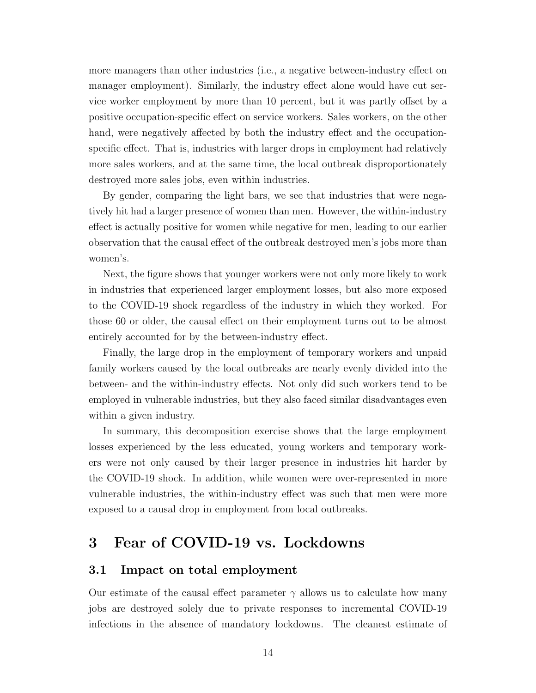more managers than other industries (i.e., a negative between-industry effect on manager employment). Similarly, the industry effect alone would have cut service worker employment by more than 10 percent, but it was partly offset by a positive occupation-specific effect on service workers. Sales workers, on the other hand, were negatively affected by both the industry effect and the occupationspecific effect. That is, industries with larger drops in employment had relatively more sales workers, and at the same time, the local outbreak disproportionately destroyed more sales jobs, even within industries.

By gender, comparing the light bars, we see that industries that were negatively hit had a larger presence of women than men. However, the within-industry effect is actually positive for women while negative for men, leading to our earlier observation that the causal effect of the outbreak destroyed men's jobs more than women's.

Next, the figure shows that younger workers were not only more likely to work in industries that experienced larger employment losses, but also more exposed to the COVID-19 shock regardless of the industry in which they worked. For those 60 or older, the causal effect on their employment turns out to be almost entirely accounted for by the between-industry effect.

Finally, the large drop in the employment of temporary workers and unpaid family workers caused by the local outbreaks are nearly evenly divided into the between- and the within-industry effects. Not only did such workers tend to be employed in vulnerable industries, but they also faced similar disadvantages even within a given industry.

In summary, this decomposition exercise shows that the large employment losses experienced by the less educated, young workers and temporary workers were not only caused by their larger presence in industries hit harder by the COVID-19 shock. In addition, while women were over-represented in more vulnerable industries, the within-industry effect was such that men were more exposed to a causal drop in employment from local outbreaks.

# 3 Fear of COVID-19 vs. Lockdowns

### 3.1 Impact on total employment

Our estimate of the causal effect parameter  $\gamma$  allows us to calculate how many jobs are destroyed solely due to private responses to incremental COVID-19 infections in the absence of mandatory lockdowns. The cleanest estimate of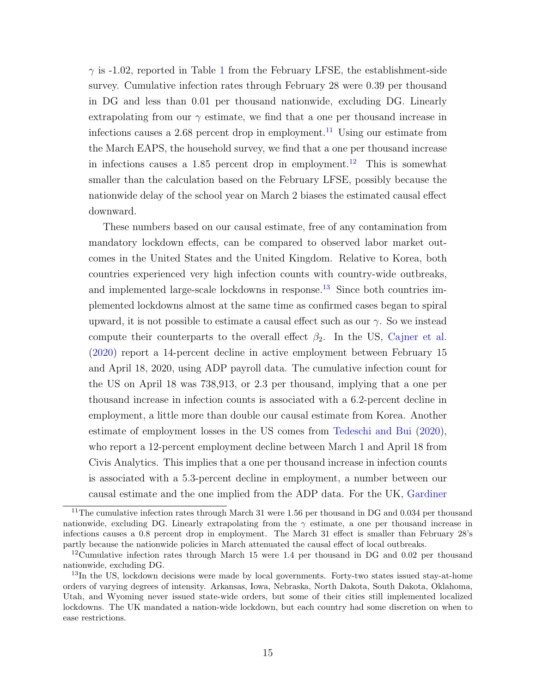$\gamma$  is -[1](#page-7-0).02, reported in Table 1 from the February LFSE, the establishment-side survey. Cumulative infection rates through February 28 were 0.39 per thousand in DG and less than 0.01 per thousand nationwide, excluding DG. Linearly extrapolating from our  $\gamma$  estimate, we find that a one per thousand increase in infections causes a 2.68 percent drop in employment.<sup>[11](#page-15-0)</sup> Using our estimate from the March EAPS, the household survey, we find that a one per thousand increase in infections causes a 1.85 percent drop in employment.<sup>[12](#page-15-1)</sup> This is somewhat smaller than the calculation based on the February LFSE, possibly because the nationwide delay of the school year on March 2 biases the estimated causal effect downward.

These numbers based on our causal estimate, free of any contamination from mandatory lockdown effects, can be compared to observed labor market outcomes in the United States and the United Kingdom. Relative to Korea, both countries experienced very high infection counts with country-wide outbreaks, and implemented large-scale lockdowns in response. $13$  Since both countries implemented lockdowns almost at the same time as confirmed cases began to spiral upward, it is not possible to estimate a causal effect such as our  $\gamma$ . So we instead compute their counterparts to the overall effect  $\beta_2$ . In the US, [Cajner et al.](#page-18-3) [\(2020\)](#page-18-3) report a 14-percent decline in active employment between February 15 and April 18, 2020, using ADP payroll data. The cumulative infection count for the US on April 18 was 738,913, or 2.3 per thousand, implying that a one per thousand increase in infection counts is associated with a 6.2-percent decline in employment, a little more than double our causal estimate from Korea. Another estimate of employment losses in the US comes from [Tedeschi and Bui](#page-18-4) [\(2020\)](#page-18-4), who report a 12-percent employment decline between March 1 and April 18 from Civis Analytics. This implies that a one per thousand increase in infection counts is associated with a 5.3-percent decline in employment, a number between our causal estimate and the one implied from the ADP data. For the UK, [Gardiner](#page-18-5)

<span id="page-15-0"></span><sup>&</sup>lt;sup>11</sup>The cumulative infection rates through March 31 were 1.56 per thousand in DG and  $0.034$  per thousand [nationwide, excluding DG. Linearly extrapolating from the](#page-18-5)  $\gamma$  estimate, a one per thousand increase in [infections causes a 0.8 percent drop in employment. The March 31 effect is smaller than February 28's](#page-18-5) [partly because the nationwide policies in March attenuated the causal effect of local outbreaks.](#page-18-5)

<span id="page-15-1"></span><sup>12</sup>[Cumulative infection rates through March 15 were 1.4 per thousand in DG and 0.02 per thousand](#page-18-5) [nationwide, excluding DG.](#page-18-5)

<span id="page-15-2"></span><sup>&</sup>lt;sup>13</sup>[In the US, lockdown decisions were made by local governments. Forty-two states issued stay-at-home](#page-18-5) [orders of varying degrees of intensity. Arkansas, Iowa, Nebraska, North Dakota, South Dakota, Oklahoma,](#page-18-5) [Utah, and Wyoming never issued state-wide orders, but some of their cities still implemented localized](#page-18-5) [lockdowns. The UK mandated a nation-wide lockdown, but each country had some discretion on when to](#page-18-5) [ease restrictions.](#page-18-5)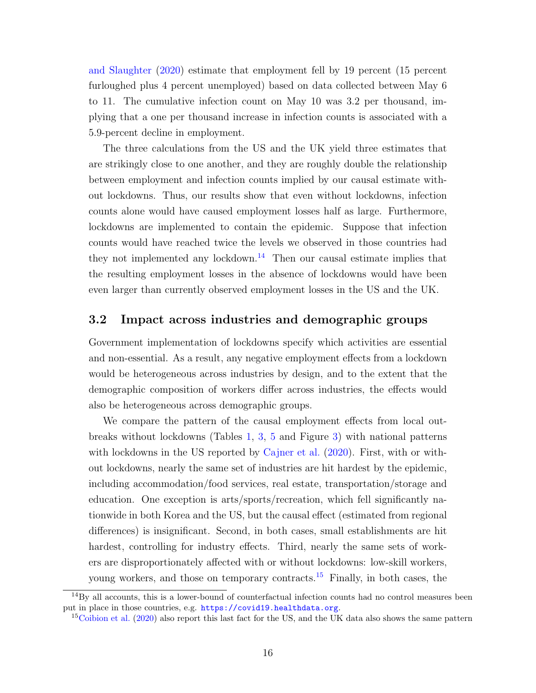[and Slaughter](#page-18-5) [\(2020\)](#page-18-5) estimate that employment fell by 19 percent (15 percent furloughed plus 4 percent unemployed) based on data collected between May 6 to 11. The cumulative infection count on May 10 was 3.2 per thousand, implying that a one per thousand increase in infection counts is associated with a 5.9-percent decline in employment.

The three calculations from the US and the UK yield three estimates that are strikingly close to one another, and they are roughly double the relationship between employment and infection counts implied by our causal estimate without lockdowns. Thus, our results show that even without lockdowns, infection counts alone would have caused employment losses half as large. Furthermore, lockdowns are implemented to contain the epidemic. Suppose that infection counts would have reached twice the levels we observed in those countries had they not implemented any lockdown.<sup>[14](#page-16-0)</sup> Then our causal estimate implies that the resulting employment losses in the absence of lockdowns would have been even larger than currently observed employment losses in the US and the UK.

### 3.2 Impact across industries and demographic groups

Government implementation of lockdowns specify which activities are essential and non-essential. As a result, any negative employment effects from a lockdown would be heterogeneous across industries by design, and to the extent that the demographic composition of workers differ across industries, the effects would also be heterogeneous across demographic groups.

We compare the pattern of the causal employment effects from local outbreaks without lockdowns (Tables [1,](#page-7-0) [3,](#page-9-1) [5](#page-12-0) and Figure [3\)](#page-13-0) with national patterns with lockdowns in the US reported by [Cajner et al.](#page-18-3) [\(2020\)](#page-18-3). First, with or without lockdowns, nearly the same set of industries are hit hardest by the epidemic, including accommodation/food services, real estate, transportation/storage and education. One exception is arts/sports/recreation, which fell significantly nationwide in both Korea and the US, but the causal effect (estimated from regional differences) is insignificant. Second, in both cases, small establishments are hit hardest, controlling for industry effects. Third, nearly the same sets of workers are disproportionately affected with or without lockdowns: low-skill workers, young workers, and those on temporary contracts.<sup>[15](#page-16-1)</sup> Finally, in both cases, the

<span id="page-16-0"></span> $14\text{By all accounts, this is a lower-bound of counterfactual infection counts had no control measures been}$ put in place in those countries, e.g. <https://covid19.healthdata.org>.

<span id="page-16-1"></span><sup>&</sup>lt;sup>15</sup>[Coibion et al.](#page-18-6) [\(2020\)](#page-18-6) also report this last fact for the US, and the UK data also shows the same pattern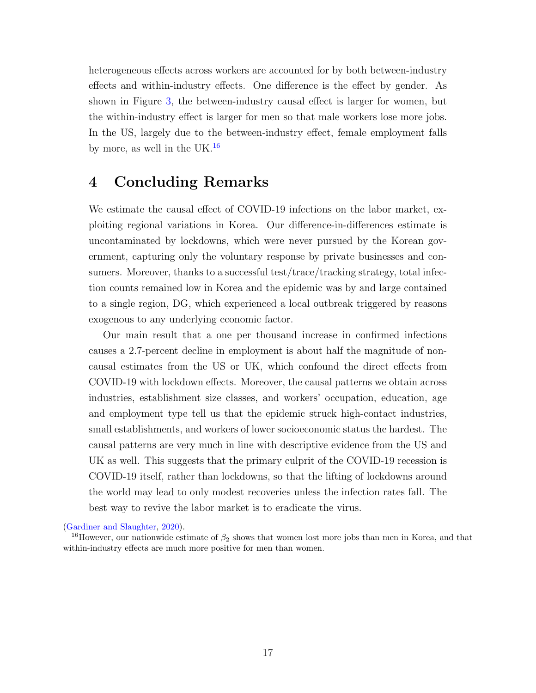heterogeneous effects across workers are accounted for by both between-industry effects and within-industry effects. One difference is the effect by gender. As shown in Figure [3,](#page-13-0) the between-industry causal effect is larger for women, but the within-industry effect is larger for men so that male workers lose more jobs. In the US, largely due to the between-industry effect, female employment falls by more, as well in the UK. $^{16}$  $^{16}$  $^{16}$ 

## 4 Concluding Remarks

We estimate the causal effect of COVID-19 infections on the labor market, exploiting regional variations in Korea. Our difference-in-differences estimate is uncontaminated by lockdowns, which were never pursued by the Korean government, capturing only the voluntary response by private businesses and consumers. Moreover, thanks to a successful test/trace/tracking strategy, total infection counts remained low in Korea and the epidemic was by and large contained to a single region, DG, which experienced a local outbreak triggered by reasons exogenous to any underlying economic factor.

Our main result that a one per thousand increase in confirmed infections causes a 2.7-percent decline in employment is about half the magnitude of noncausal estimates from the US or UK, which confound the direct effects from COVID-19 with lockdown effects. Moreover, the causal patterns we obtain across industries, establishment size classes, and workers' occupation, education, age and employment type tell us that the epidemic struck high-contact industries, small establishments, and workers of lower socioeconomic status the hardest. The causal patterns are very much in line with descriptive evidence from the US and UK as well. This suggests that the primary culprit of the COVID-19 recession is COVID-19 itself, rather than lockdowns, so that the lifting of lockdowns around the world may lead to only modest recoveries unless the infection rates fall. The best way to revive the labor market is to eradicate the virus.

[<sup>\(</sup>Gardiner and Slaughter,](#page-18-5) [2020\)](#page-18-5).

<span id="page-17-0"></span><sup>&</sup>lt;sup>16</sup>However, our nationwide estimate of  $\beta_2$  shows that women lost more jobs than men in Korea, and that within-industry effects are much more positive for men than women.